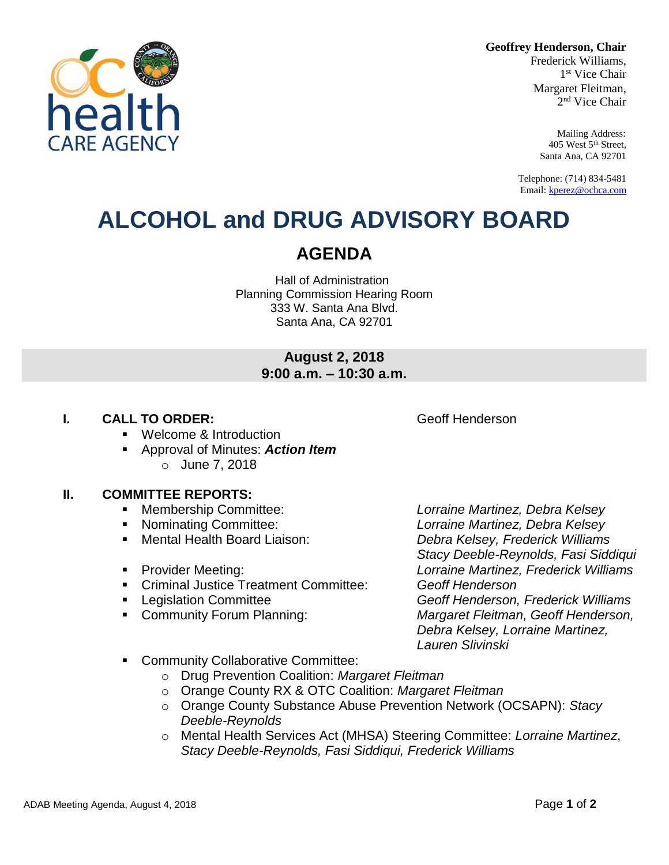**Geoffrey Henderson, Chair**

Frederick Williams, 1 st Vice Chair Margaret Fleitman, 2 nd Vice Chair

> Mailing Address: 405 West 5th Street, Santa Ana, CA 92701

Telephone: (714) 834-5481 Email[: kperez@ochca.com](mailto:kperez@ochca.com)

## **ALCOHOL and DRUG ADVISORY BOARD**

### **AGENDA**

Hall of Administration Planning Commission Hearing Room 333 W. Santa Ana Blvd. Santa Ana, CA 92701

### **August 2, 2018 9:00 a.m. – 10:30 a.m.**

### **I. CALL TO ORDER: CALL TO ORDER: CALL ACCESS Geoff Henderson**

- **Welcome & Introduction**
- Approval of Minutes: *Action Item* o June 7, 2018

#### **II. COMMITTEE REPORTS:**

- Membership Committee: *Lorraine Martinez, Debra Kelsey*
- 
- 
- 
- Criminal Justice Treatment Committee: *Geoff Henderson*
- 
- 

 Nominating Committee: *Lorraine Martinez, Debra Kelsey* Mental Health Board Liaison: *Debra Kelsey, Frederick Williams Stacy Deeble-Reynolds, Fasi Siddiqui*  Provider Meeting: *Lorraine Martinez, Frederick Williams* Legislation Committee *Geoff Henderson, Frederick Williams* Community Forum Planning: *Margaret Fleitman, Geoff Henderson, Debra Kelsey, Lorraine Martinez, Lauren Slivinski*

- **EXECOMMUNITY Collaborative Committee:** 
	- o Drug Prevention Coalition: *Margaret Fleitman*
	- o Orange County RX & OTC Coalition: *Margaret Fleitman*
	- o Orange County Substance Abuse Prevention Network (OCSAPN): *Stacy Deeble-Reynolds*
	- o Mental Health Services Act (MHSA) Steering Committee: *Lorraine Martinez*, *Stacy Deeble-Reynolds, Fasi Siddiqui, Frederick Williams*